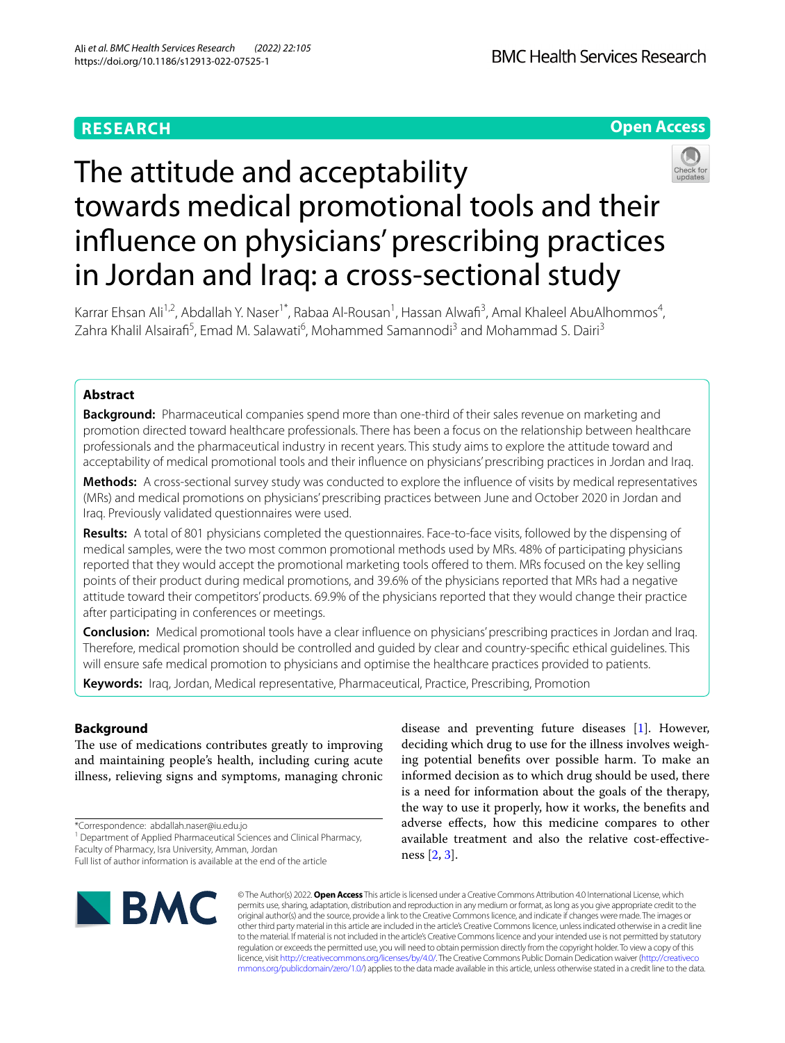# **RESEARCH**



# The attitude and acceptability towards medical promotional tools and their infuence on physicians' prescribing practices in Jordan and Iraq: a cross-sectional study

Karrar Ehsan Ali<sup>1,2</sup>, Abdallah Y. Naser<sup>1\*</sup>, Rabaa Al-Rousan<sup>1</sup>, Hassan Alwafi<sup>3</sup>, Amal Khaleel AbuAlhommos<sup>4</sup>, Zahra Khalil Alsairafi<sup>5</sup>, Emad M. Salawati<sup>6</sup>, Mohammed Samannodi<sup>3</sup> and Mohammad S. Dairi<sup>3</sup>

# **Abstract**

**Background:** Pharmaceutical companies spend more than one-third of their sales revenue on marketing and promotion directed toward healthcare professionals. There has been a focus on the relationship between healthcare professionals and the pharmaceutical industry in recent years. This study aims to explore the attitude toward and acceptability of medical promotional tools and their infuence on physicians' prescribing practices in Jordan and Iraq.

**Methods:** A cross-sectional survey study was conducted to explore the infuence of visits by medical representatives (MRs) and medical promotions on physicians' prescribing practices between June and October 2020 in Jordan and Iraq. Previously validated questionnaires were used.

**Results:** A total of 801 physicians completed the questionnaires. Face-to-face visits, followed by the dispensing of medical samples, were the two most common promotional methods used by MRs. 48% of participating physicians reported that they would accept the promotional marketing tools offered to them. MRs focused on the key selling points of their product during medical promotions, and 39.6% of the physicians reported that MRs had a negative attitude toward their competitors' products. 69.9% of the physicians reported that they would change their practice after participating in conferences or meetings.

**Conclusion:** Medical promotional tools have a clear infuence on physicians' prescribing practices in Jordan and Iraq. Therefore, medical promotion should be controlled and guided by clear and country-specifc ethical guidelines. This will ensure safe medical promotion to physicians and optimise the healthcare practices provided to patients.

**Keywords:** Iraq, Jordan, Medical representative, Pharmaceutical, Practice, Prescribing, Promotion

# **Background**

The use of medications contributes greatly to improving and maintaining people's health, including curing acute illness, relieving signs and symptoms, managing chronic

\*Correspondence: abdallah.naser@iu.edu.jo

Faculty of Pharmacy, Isra University, Amman, Jordan

Full list of author information is available at the end of the article



disease and preventing future diseases [[1\]](#page-8-0). However, deciding which drug to use for the illness involves weighing potential benefts over possible harm. To make an informed decision as to which drug should be used, there is a need for information about the goals of the therapy, the way to use it properly, how it works, the benefts and adverse efects, how this medicine compares to other available treatment and also the relative cost-efectiveness [[2,](#page-8-1) [3](#page-8-2)].

© The Author(s) 2022. **Open Access** This article is licensed under a Creative Commons Attribution 4.0 International License, which permits use, sharing, adaptation, distribution and reproduction in any medium or format, as long as you give appropriate credit to the original author(s) and the source, provide a link to the Creative Commons licence, and indicate if changes were made. The images or other third party material in this article are included in the article's Creative Commons licence, unless indicated otherwise in a credit line to the material. If material is not included in the article's Creative Commons licence and your intended use is not permitted by statutory regulation or exceeds the permitted use, you will need to obtain permission directly from the copyright holder. To view a copy of this licence, visit [http://creativecommons.org/licenses/by/4.0/.](http://creativecommons.org/licenses/by/4.0/) The Creative Commons Public Domain Dedication waiver ([http://creativeco](http://creativecommons.org/publicdomain/zero/1.0/) [mmons.org/publicdomain/zero/1.0/](http://creativecommons.org/publicdomain/zero/1.0/)) applies to the data made available in this article, unless otherwise stated in a credit line to the data.

<sup>&</sup>lt;sup>1</sup> Department of Applied Pharmaceutical Sciences and Clinical Pharmacy,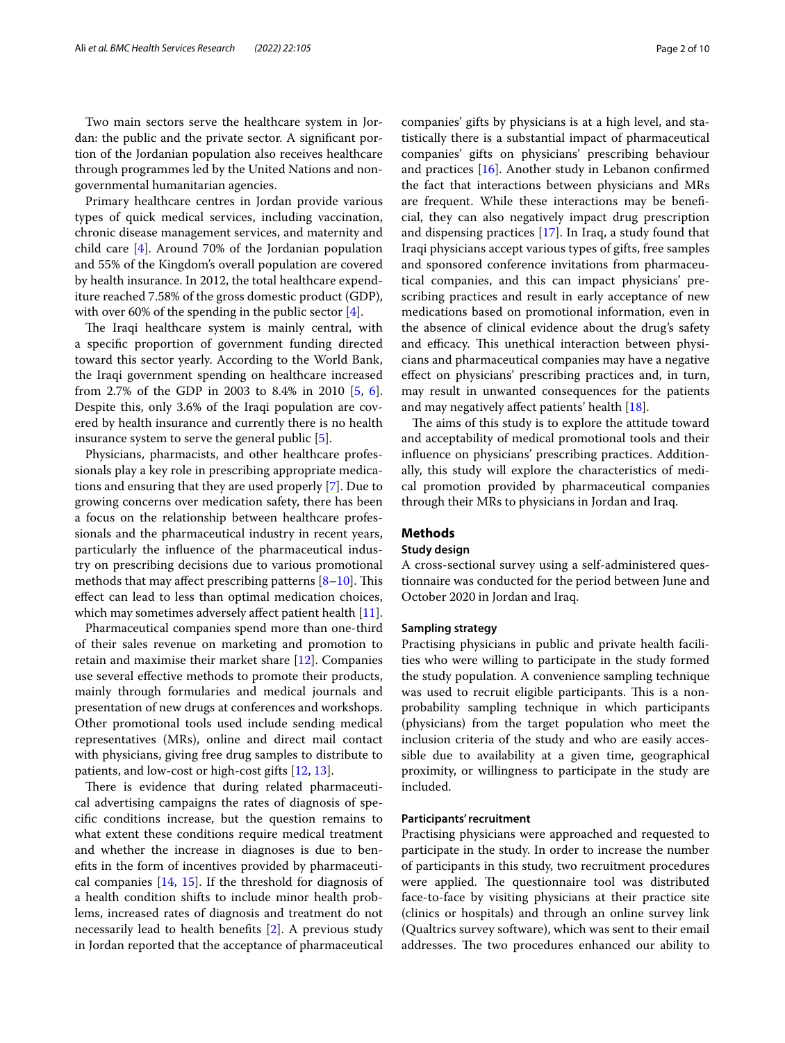Two main sectors serve the healthcare system in Jordan: the public and the private sector. A signifcant portion of the Jordanian population also receives healthcare through programmes led by the United Nations and nongovernmental humanitarian agencies.

Primary healthcare centres in Jordan provide various types of quick medical services, including vaccination, chronic disease management services, and maternity and child care [\[4](#page-8-3)]. Around 70% of the Jordanian population and 55% of the Kingdom's overall population are covered by health insurance. In 2012, the total healthcare expenditure reached 7.58% of the gross domestic product (GDP), with over 60% of the spending in the public sector [[4\]](#page-8-3).

The Iraqi healthcare system is mainly central, with a specifc proportion of government funding directed toward this sector yearly. According to the World Bank, the Iraqi government spending on healthcare increased from 2.7% of the GDP in 2003 to 8.4% in 2010 [[5,](#page-8-4) [6](#page-8-5)]. Despite this, only 3.6% of the Iraqi population are covered by health insurance and currently there is no health insurance system to serve the general public [[5\]](#page-8-4).

Physicians, pharmacists, and other healthcare professionals play a key role in prescribing appropriate medications and ensuring that they are used properly [\[7](#page-8-6)]. Due to growing concerns over medication safety, there has been a focus on the relationship between healthcare professionals and the pharmaceutical industry in recent years, particularly the infuence of the pharmaceutical industry on prescribing decisions due to various promotional methods that may affect prescribing patterns  $[8-10]$  $[8-10]$  $[8-10]$ . This efect can lead to less than optimal medication choices, which may sometimes adversely affect patient health [\[11](#page-8-9)].

Pharmaceutical companies spend more than one-third of their sales revenue on marketing and promotion to retain and maximise their market share [\[12\]](#page-8-10). Companies use several efective methods to promote their products, mainly through formularies and medical journals and presentation of new drugs at conferences and workshops. Other promotional tools used include sending medical representatives (MRs), online and direct mail contact with physicians, giving free drug samples to distribute to patients, and low-cost or high-cost gifts [[12,](#page-8-10) [13](#page-8-11)].

There is evidence that during related pharmaceutical advertising campaigns the rates of diagnosis of specifc conditions increase, but the question remains to what extent these conditions require medical treatment and whether the increase in diagnoses is due to benefts in the form of incentives provided by pharmaceutical companies [\[14](#page-8-12), [15\]](#page-8-13). If the threshold for diagnosis of a health condition shifts to include minor health problems, increased rates of diagnosis and treatment do not necessarily lead to health benefts [\[2](#page-8-1)]. A previous study in Jordan reported that the acceptance of pharmaceutical companies' gifts by physicians is at a high level, and statistically there is a substantial impact of pharmaceutical companies' gifts on physicians' prescribing behaviour and practices [[16\]](#page-9-0). Another study in Lebanon confrmed the fact that interactions between physicians and MRs are frequent. While these interactions may be benefcial, they can also negatively impact drug prescription and dispensing practices [[17\]](#page-9-1). In Iraq, a study found that Iraqi physicians accept various types of gifts, free samples and sponsored conference invitations from pharmaceutical companies, and this can impact physicians' prescribing practices and result in early acceptance of new medications based on promotional information, even in the absence of clinical evidence about the drug's safety and efficacy. This unethical interaction between physicians and pharmaceutical companies may have a negative efect on physicians' prescribing practices and, in turn, may result in unwanted consequences for the patients and may negatively afect patients' health [[18](#page-9-2)].

The aims of this study is to explore the attitude toward and acceptability of medical promotional tools and their infuence on physicians' prescribing practices. Additionally, this study will explore the characteristics of medical promotion provided by pharmaceutical companies through their MRs to physicians in Jordan and Iraq.

#### **Methods**

## **Study design**

A cross-sectional survey using a self-administered questionnaire was conducted for the period between June and October 2020 in Jordan and Iraq.

## **Sampling strategy**

Practising physicians in public and private health facilities who were willing to participate in the study formed the study population. A convenience sampling technique was used to recruit eligible participants. This is a nonprobability sampling technique in which participants (physicians) from the target population who meet the inclusion criteria of the study and who are easily accessible due to availability at a given time, geographical proximity, or willingness to participate in the study are included.

## **Participants' recruitment**

Practising physicians were approached and requested to participate in the study. In order to increase the number of participants in this study, two recruitment procedures were applied. The questionnaire tool was distributed face-to-face by visiting physicians at their practice site (clinics or hospitals) and through an online survey link (Qualtrics survey software), which was sent to their email addresses. The two procedures enhanced our ability to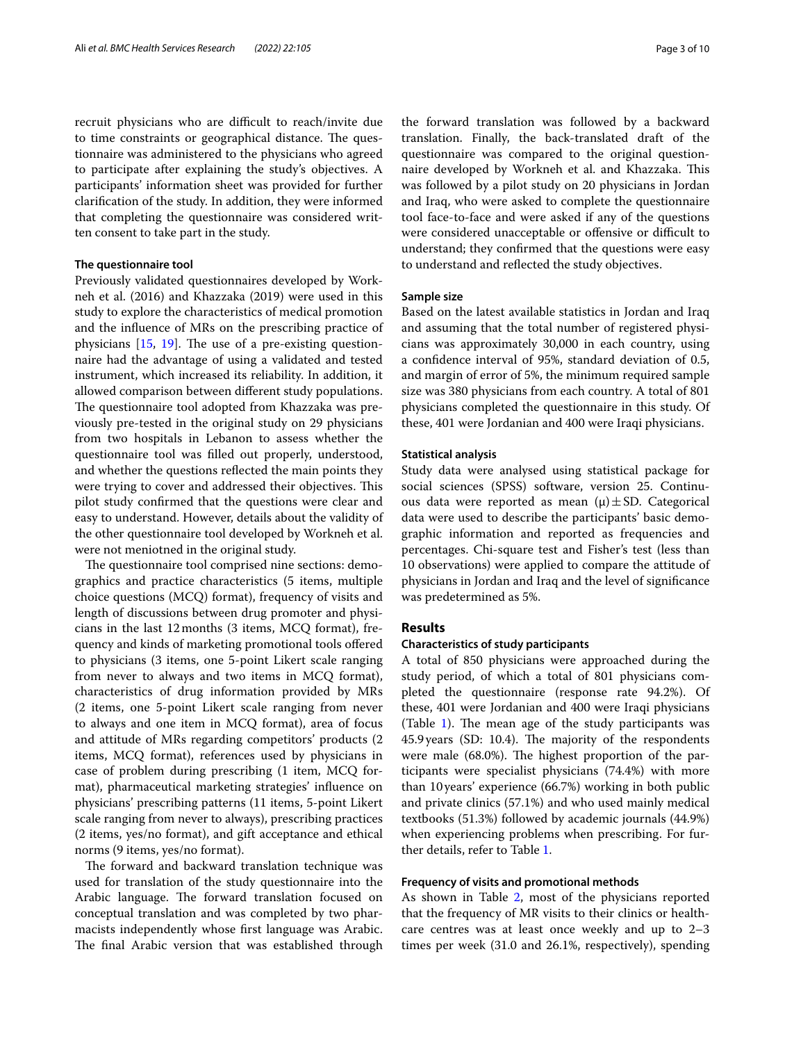recruit physicians who are difficult to reach/invite due to time constraints or geographical distance. The questionnaire was administered to the physicians who agreed to participate after explaining the study's objectives. A participants' information sheet was provided for further clarifcation of the study. In addition, they were informed that completing the questionnaire was considered written consent to take part in the study.

## **The questionnaire tool**

Previously validated questionnaires developed by Workneh et al. (2016) and Khazzaka (2019) were used in this study to explore the characteristics of medical promotion and the infuence of MRs on the prescribing practice of physicians  $[15, 19]$  $[15, 19]$  $[15, 19]$  $[15, 19]$ . The use of a pre-existing questionnaire had the advantage of using a validated and tested instrument, which increased its reliability. In addition, it allowed comparison between diferent study populations. The questionnaire tool adopted from Khazzaka was previously pre-tested in the original study on 29 physicians from two hospitals in Lebanon to assess whether the questionnaire tool was flled out properly, understood, and whether the questions refected the main points they were trying to cover and addressed their objectives. This pilot study confrmed that the questions were clear and easy to understand. However, details about the validity of the other questionnaire tool developed by Workneh et al. were not meniotned in the original study.

The questionnaire tool comprised nine sections: demographics and practice characteristics (5 items, multiple choice questions (MCQ) format), frequency of visits and length of discussions between drug promoter and physicians in the last 12months (3 items, MCQ format), frequency and kinds of marketing promotional tools ofered to physicians (3 items, one 5-point Likert scale ranging from never to always and two items in MCQ format), characteristics of drug information provided by MRs (2 items, one 5-point Likert scale ranging from never to always and one item in MCQ format), area of focus and attitude of MRs regarding competitors' products (2 items, MCQ format), references used by physicians in case of problem during prescribing (1 item, MCQ format), pharmaceutical marketing strategies' infuence on physicians' prescribing patterns (11 items, 5-point Likert scale ranging from never to always), prescribing practices (2 items, yes/no format), and gift acceptance and ethical norms (9 items, yes/no format).

The forward and backward translation technique was used for translation of the study questionnaire into the Arabic language. The forward translation focused on conceptual translation and was completed by two pharmacists independently whose frst language was Arabic. The final Arabic version that was established through

the forward translation was followed by a backward translation. Finally, the back-translated draft of the questionnaire was compared to the original questionnaire developed by Workneh et al. and Khazzaka. This was followed by a pilot study on 20 physicians in Jordan and Iraq, who were asked to complete the questionnaire tool face-to-face and were asked if any of the questions were considered unacceptable or offensive or difficult to understand; they confrmed that the questions were easy to understand and refected the study objectives.

## **Sample size**

Based on the latest available statistics in Jordan and Iraq and assuming that the total number of registered physicians was approximately 30,000 in each country, using a confdence interval of 95%, standard deviation of 0.5, and margin of error of 5%, the minimum required sample size was 380 physicians from each country. A total of 801 physicians completed the questionnaire in this study. Of these, 401 were Jordanian and 400 were Iraqi physicians.

## **Statistical analysis**

Study data were analysed using statistical package for social sciences (SPSS) software, version 25. Continuous data were reported as mean  $(\mu) \pm SD$ . Categorical data were used to describe the participants' basic demographic information and reported as frequencies and percentages. Chi-square test and Fisher's test (less than 10 observations) were applied to compare the attitude of physicians in Jordan and Iraq and the level of signifcance was predetermined as 5%.

#### **Results**

#### **Characteristics of study participants**

A total of 850 physicians were approached during the study period, of which a total of 801 physicians completed the questionnaire (response rate 94.2%). Of these, 401 were Jordanian and 400 were Iraqi physicians (Table  $1$ ). The mean age of the study participants was 45.9 years (SD: 10.4). The majority of the respondents were male  $(68.0\%)$ . The highest proportion of the participants were specialist physicians (74.4%) with more than 10years' experience (66.7%) working in both public and private clinics (57.1%) and who used mainly medical textbooks (51.3%) followed by academic journals (44.9%) when experiencing problems when prescribing. For further details, refer to Table [1.](#page-3-0)

## **Frequency of visits and promotional methods**

As shown in Table [2,](#page-3-1) most of the physicians reported that the frequency of MR visits to their clinics or healthcare centres was at least once weekly and up to 2–3 times per week (31.0 and 26.1%, respectively), spending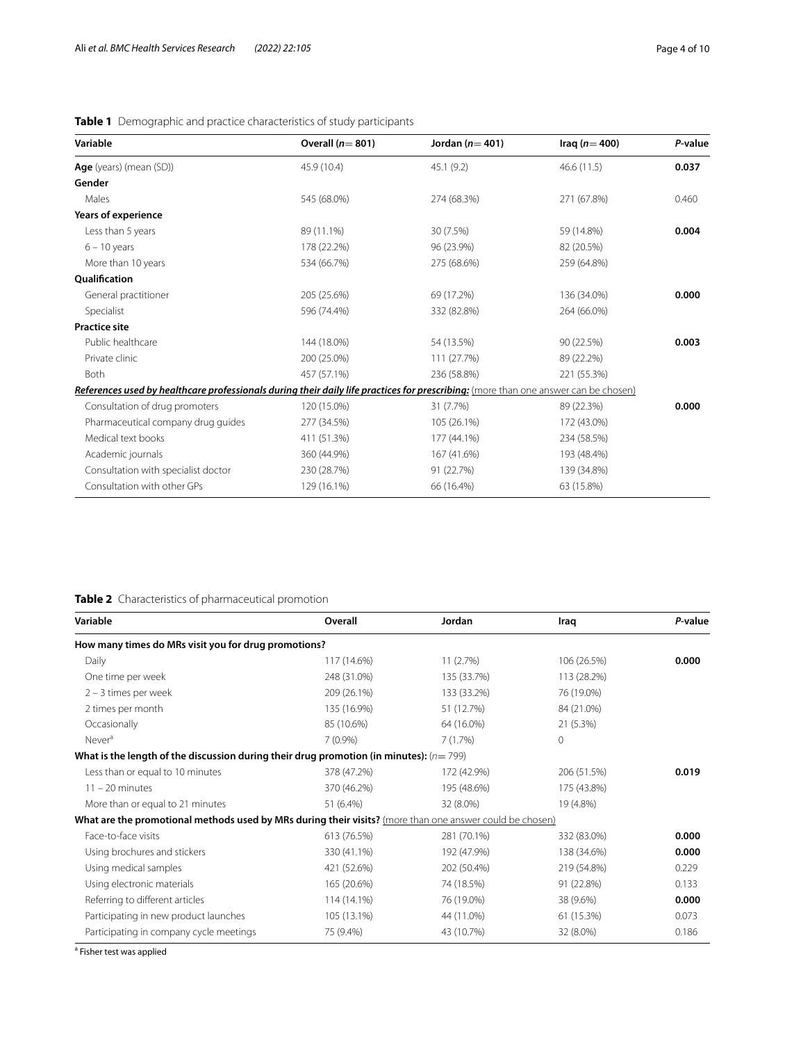# <span id="page-3-0"></span>**Table 1** Demographic and practice characteristics of study participants

| Variable                                                                                                                            | Overall $(n=801)$ | Jordan $(n=401)$ | Iraq ( $n=400$ ) | P-value |
|-------------------------------------------------------------------------------------------------------------------------------------|-------------------|------------------|------------------|---------|
| Age (years) (mean (SD))                                                                                                             | 45.9 (10.4)       | 45.1(9.2)        | 46.6(11.5)       | 0.037   |
| Gender                                                                                                                              |                   |                  |                  |         |
| Males                                                                                                                               | 545 (68.0%)       | 274 (68.3%)      | 271 (67.8%)      | 0.460   |
| Years of experience                                                                                                                 |                   |                  |                  |         |
| Less than 5 years                                                                                                                   | 89 (11.1%)        | 30 (7.5%)        | 59 (14.8%)       | 0.004   |
| $6 - 10$ years                                                                                                                      | 178 (22.2%)       | 96 (23.9%)       | 82 (20.5%)       |         |
| More than 10 years                                                                                                                  | 534 (66.7%)       | 275 (68.6%)      | 259 (64.8%)      |         |
| <b>Oualification</b>                                                                                                                |                   |                  |                  |         |
| General practitioner                                                                                                                | 205 (25.6%)       | 69 (17.2%)       | 136 (34.0%)      | 0.000   |
| Specialist                                                                                                                          | 596 (74.4%)       | 332 (82.8%)      | 264 (66.0%)      |         |
| <b>Practice site</b>                                                                                                                |                   |                  |                  |         |
| Public healthcare                                                                                                                   | 144 (18.0%)       | 54 (13.5%)       | 90 (22.5%)       | 0.003   |
| Private clinic                                                                                                                      | 200 (25.0%)       | 111 (27.7%)      | 89 (22.2%)       |         |
| Both                                                                                                                                | 457 (57.1%)       | 236 (58.8%)      | 221 (55.3%)      |         |
| References used by healthcare professionals during their daily life practices for prescribing: (more than one answer can be chosen) |                   |                  |                  |         |
| Consultation of drug promoters                                                                                                      | 120 (15.0%)       | 31 (7.7%)        | 89 (22.3%)       | 0.000   |
| Pharmaceutical company drug guides                                                                                                  | 277 (34.5%)       | 105 (26.1%)      | 172 (43.0%)      |         |
| Medical text books                                                                                                                  | 411 (51.3%)       | 177 (44.1%)      | 234 (58.5%)      |         |
| Academic journals                                                                                                                   | 360 (44.9%)       | 167 (41.6%)      | 193 (48.4%)      |         |
| Consultation with specialist doctor                                                                                                 | 230 (28.7%)       | 91 (22.7%)       | 139 (34.8%)      |         |
| Consultation with other GPs                                                                                                         | 129 (16.1%)       | 66 (16.4%)       | 63 (15.8%)       |         |

# <span id="page-3-1"></span>**Table 2** Characteristics of pharmaceutical promotion

| Variable                                                                                                 | Overall     | Jordan      | Iraq         | P-value |
|----------------------------------------------------------------------------------------------------------|-------------|-------------|--------------|---------|
| How many times do MRs visit you for drug promotions?                                                     |             |             |              |         |
| Daily                                                                                                    | 117 (14.6%) | 11(2.7%)    | 106 (26.5%)  | 0.000   |
| One time per week                                                                                        | 248 (31.0%) | 135 (33.7%) | 113 (28.2%)  |         |
| $2 - 3$ times per week                                                                                   | 209 (26.1%) | 133 (33.2%) | 76 (19.0%)   |         |
| 2 times per month                                                                                        | 135 (16.9%) | 51 (12.7%)  | 84 (21.0%)   |         |
| Occasionally                                                                                             | 85 (10.6%)  | 64 (16.0%)  | 21 (5.3%)    |         |
| Never <sup>a</sup>                                                                                       | $7(0.9\%)$  | 7(1.7%)     | $\mathbf{0}$ |         |
| What is the length of the discussion during their drug promotion (in minutes): $(n=799)$                 |             |             |              |         |
| Less than or equal to 10 minutes                                                                         | 378 (47.2%) | 172 (42.9%) | 206 (51.5%)  | 0.019   |
| $11 - 20$ minutes                                                                                        | 370 (46.2%) | 195 (48.6%) | 175 (43.8%)  |         |
| More than or equal to 21 minutes                                                                         | 51 (6.4%)   | 32 (8.0%)   | 19 (4.8%)    |         |
| What are the promotional methods used by MRs during their visits? (more than one answer could be chosen) |             |             |              |         |
| Face-to-face visits                                                                                      | 613 (76.5%) | 281 (70.1%) | 332 (83.0%)  | 0.000   |
| Using brochures and stickers                                                                             | 330 (41.1%) | 192 (47.9%) | 138 (34.6%)  | 0.000   |
| Using medical samples                                                                                    | 421 (52.6%) | 202 (50.4%) | 219 (54.8%)  | 0.229   |
| Using electronic materials                                                                               | 165 (20.6%) | 74 (18.5%)  | 91 (22.8%)   | 0.133   |
| Referring to different articles                                                                          | 114 (14.1%) | 76 (19.0%)  | 38 (9.6%)    | 0.000   |
| Participating in new product launches                                                                    | 105 (13.1%) | 44 (11.0%)  | 61 (15.3%)   | 0.073   |
| Participating in company cycle meetings                                                                  | 75 (9.4%)   | 43 (10.7%)  | 32 (8.0%)    | 0.186   |

<sup>a</sup> Fisher test was applied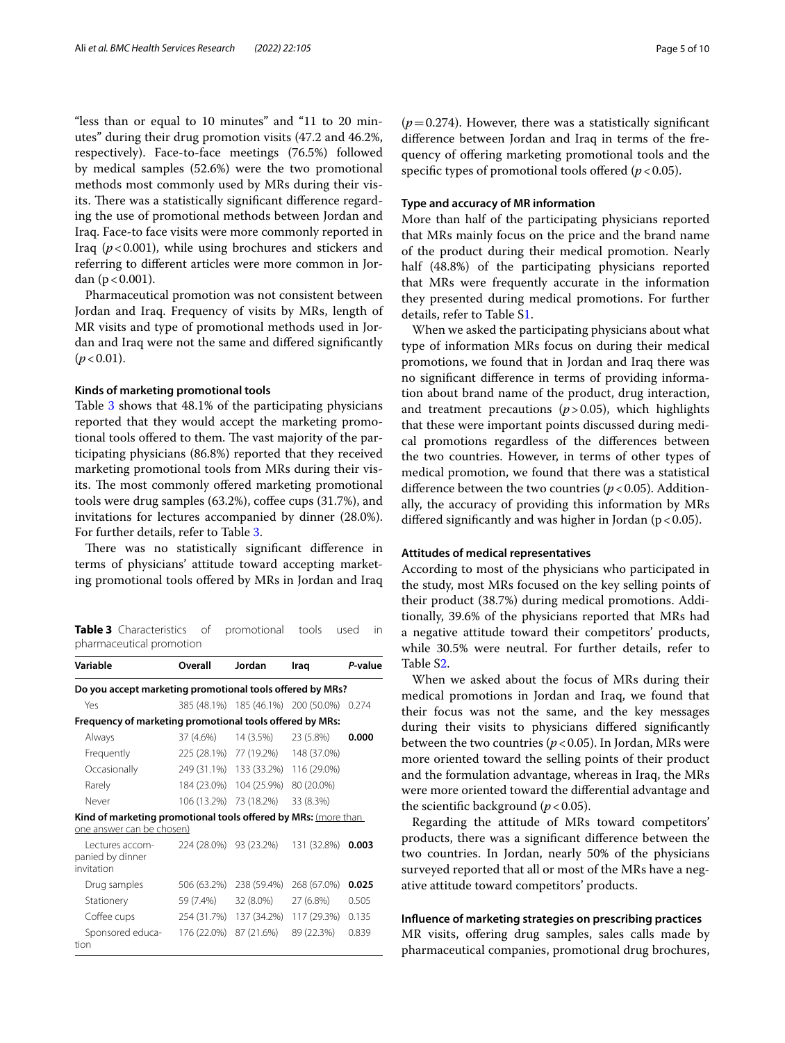"less than or equal to 10 minutes" and "11 to 20 minutes" during their drug promotion visits (47.2 and 46.2%, respectively). Face-to-face meetings (76.5%) followed by medical samples (52.6%) were the two promotional methods most commonly used by MRs during their visits. There was a statistically significant difference regarding the use of promotional methods between Jordan and Iraq. Face-to face visits were more commonly reported in Iraq  $(p<0.001)$ , while using brochures and stickers and referring to diferent articles were more common in Jordan ( $p < 0.001$ ).

Pharmaceutical promotion was not consistent between Jordan and Iraq. Frequency of visits by MRs, length of MR visits and type of promotional methods used in Jordan and Iraq were not the same and difered signifcantly  $(p < 0.01)$ .

## **Kinds of marketing promotional tools**

Table [3](#page-4-0) shows that 48.1% of the participating physicians reported that they would accept the marketing promotional tools offered to them. The vast majority of the participating physicians (86.8%) reported that they received marketing promotional tools from MRs during their visits. The most commonly offered marketing promotional tools were drug samples (63.2%), coffee cups (31.7%), and invitations for lectures accompanied by dinner (28.0%). For further details, refer to Table [3](#page-4-0).

There was no statistically significant difference in terms of physicians' attitude toward accepting marketing promotional tools ofered by MRs in Jordan and Iraq

<span id="page-4-0"></span>**Table 3** Characteristics of promotional tools used in pharmaceutical promotion

| Variable                                                                                    | Overall     | Jordan                              | Iraq        | P-value |
|---------------------------------------------------------------------------------------------|-------------|-------------------------------------|-------------|---------|
| Do you accept marketing promotional tools offered by MRs?                                   |             |                                     |             |         |
| Yes                                                                                         |             | 385 (48.1%) 185 (46.1%) 200 (50.0%) |             | 0.274   |
| Frequency of marketing promotional tools offered by MRs:                                    |             |                                     |             |         |
| Always                                                                                      | 37 (4.6%)   | 14 (3.5%)                           | 23 (5.8%)   | 0.000   |
| Frequently                                                                                  |             | 225 (28.1%) 77 (19.2%)              | 148 (37.0%) |         |
| Occasionally                                                                                |             | 249 (31.1%) 133 (33.2%)             | 116 (29.0%) |         |
| Rarely                                                                                      | 184 (23.0%) | 104 (25.9%)                         | 80 (20.0%)  |         |
| Never                                                                                       |             | 106 (13.2%) 73 (18.2%)              | 33 (8.3%)   |         |
| Kind of marketing promotional tools offered by MRs: (more than<br>one answer can be chosen) |             |                                     |             |         |
| Lectures accom-<br>panied by dinner<br>invitation                                           |             | 224 (28.0%) 93 (23.2%)              | 131 (32.8%) | 0.003   |
| Drug samples                                                                                | 506 (63.2%) | 238 (59.4%)                         | 268 (67.0%) | 0.025   |
| Stationery                                                                                  | 59 (7.4%)   | 32 (8.0%)                           | 27 (6.8%)   | 0.505   |
| Coffee cups                                                                                 | 254 (31.7%) | 137 (34.2%)                         | 117 (29.3%) | 0.135   |
| Sponsored educa-<br>tion                                                                    | 176 (22.0%) | 87 (21.6%)                          | 89 (22.3%)  | 0.839   |

diference between Jordan and Iraq in terms of the frequency of ofering marketing promotional tools and the specific types of promotional tools offered ( $p$  < 0.05).

## **Type and accuracy of MR information**

More than half of the participating physicians reported that MRs mainly focus on the price and the brand name of the product during their medical promotion. Nearly half (48.8%) of the participating physicians reported that MRs were frequently accurate in the information they presented during medical promotions. For further details, refer to Table S[1.](#page-8-14)

When we asked the participating physicians about what type of information MRs focus on during their medical promotions, we found that in Jordan and Iraq there was no signifcant diference in terms of providing information about brand name of the product, drug interaction, and treatment precautions  $(p>0.05)$ , which highlights that these were important points discussed during medical promotions regardless of the diferences between the two countries. However, in terms of other types of medical promotion, we found that there was a statistical difference between the two countries  $(p < 0.05)$ . Additionally, the accuracy of providing this information by MRs differed significantly and was higher in Jordan ( $p < 0.05$ ).

#### **Attitudes of medical representatives**

According to most of the physicians who participated in the study, most MRs focused on the key selling points of their product (38.7%) during medical promotions. Additionally, 39.6% of the physicians reported that MRs had a negative attitude toward their competitors' products, while 30.5% were neutral. For further details, refer to Table [S2](#page-8-14).

When we asked about the focus of MRs during their medical promotions in Jordan and Iraq, we found that their focus was not the same, and the key messages during their visits to physicians difered signifcantly between the two countries ( $p < 0.05$ ). In Jordan, MRs were more oriented toward the selling points of their product and the formulation advantage, whereas in Iraq, the MRs were more oriented toward the diferential advantage and the scientific background  $(p < 0.05)$ .

Regarding the attitude of MRs toward competitors' products, there was a signifcant diference between the two countries. In Jordan, nearly 50% of the physicians surveyed reported that all or most of the MRs have a negative attitude toward competitors' products.

## **Infuence of marketing strategies on prescribing practices**

MR visits, offering drug samples, sales calls made by pharmaceutical companies, promotional drug brochures,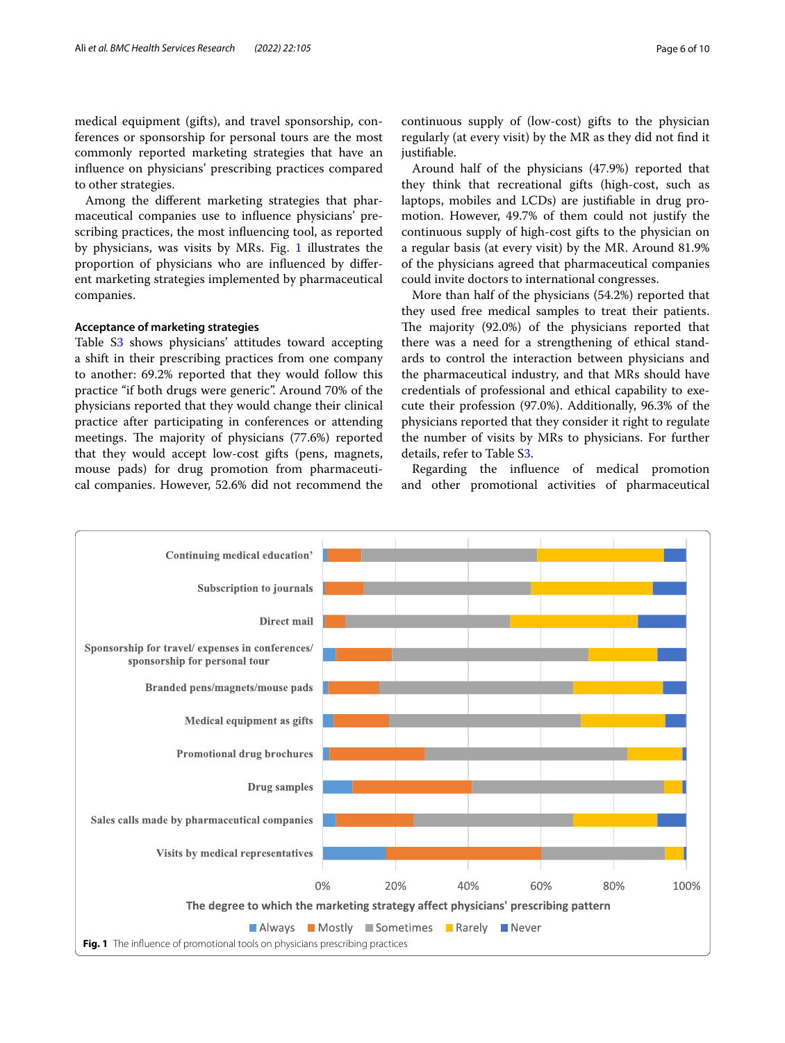medical equipment (gifts), and travel sponsorship, conferences or sponsorship for personal tours are the most commonly reported marketing strategies that have an infuence on physicians' prescribing practices compared to other strategies.

Among the diferent marketing strategies that pharmaceutical companies use to infuence physicians' prescribing practices, the most infuencing tool, as reported by physicians, was visits by MRs. Fig. [1](#page-5-0) illustrates the proportion of physicians who are infuenced by diferent marketing strategies implemented by pharmaceutical companies.

## **Acceptance of marketing strategies**

Table S[3](#page-8-14) shows physicians' attitudes toward accepting a shift in their prescribing practices from one company to another: 69.2% reported that they would follow this practice "if both drugs were generic". Around 70% of the physicians reported that they would change their clinical practice after participating in conferences or attending meetings. The majority of physicians (77.6%) reported that they would accept low-cost gifts (pens, magnets, mouse pads) for drug promotion from pharmaceutical companies. However, 52.6% did not recommend the

Around half of the physicians (47.9%) reported that they think that recreational gifts (high-cost, such as laptops, mobiles and LCDs) are justifable in drug promotion. However, 49.7% of them could not justify the continuous supply of high-cost gifts to the physician on a regular basis (at every visit) by the MR. Around 81.9% of the physicians agreed that pharmaceutical companies could invite doctors to international congresses.

More than half of the physicians (54.2%) reported that they used free medical samples to treat their patients. The majority (92.0%) of the physicians reported that there was a need for a strengthening of ethical standards to control the interaction between physicians and the pharmaceutical industry, and that MRs should have credentials of professional and ethical capability to execute their profession (97.0%). Additionally, 96.3% of the physicians reported that they consider it right to regulate the number of visits by MRs to physicians. For further details, refer to Table S[3.](#page-8-14)

Regarding the infuence of medical promotion and other promotional activities of pharmaceutical

<span id="page-5-0"></span>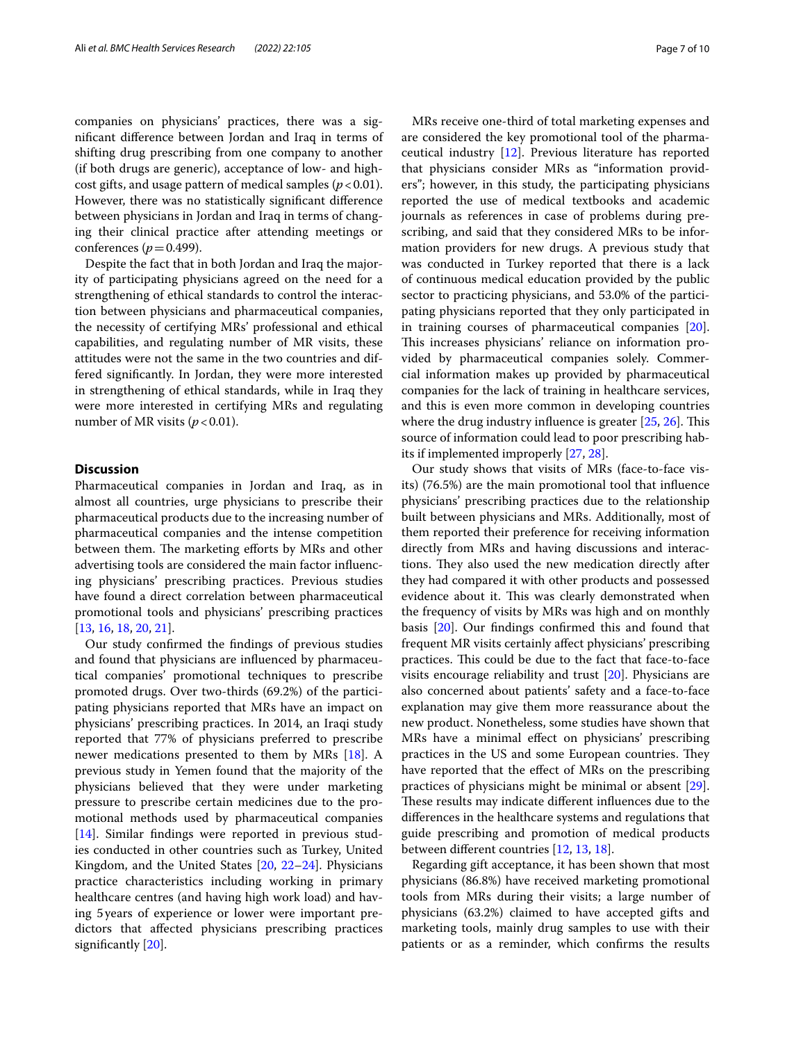companies on physicians' practices, there was a signifcant diference between Jordan and Iraq in terms of shifting drug prescribing from one company to another (if both drugs are generic), acceptance of low- and highcost gifts, and usage pattern of medical samples  $(p < 0.01)$ . However, there was no statistically signifcant diference between physicians in Jordan and Iraq in terms of changing their clinical practice after attending meetings or conferences ( $p = 0.499$ ).

Despite the fact that in both Jordan and Iraq the majority of participating physicians agreed on the need for a strengthening of ethical standards to control the interaction between physicians and pharmaceutical companies, the necessity of certifying MRs' professional and ethical capabilities, and regulating number of MR visits, these attitudes were not the same in the two countries and differed signifcantly. In Jordan, they were more interested in strengthening of ethical standards, while in Iraq they were more interested in certifying MRs and regulating number of MR visits  $(p < 0.01)$ .

## **Discussion**

Pharmaceutical companies in Jordan and Iraq, as in almost all countries, urge physicians to prescribe their pharmaceutical products due to the increasing number of pharmaceutical companies and the intense competition between them. The marketing efforts by MRs and other advertising tools are considered the main factor infuencing physicians' prescribing practices. Previous studies have found a direct correlation between pharmaceutical promotional tools and physicians' prescribing practices [[13,](#page-8-11) [16](#page-9-0), [18](#page-9-2), [20,](#page-9-4) [21](#page-9-5)].

Our study confrmed the fndings of previous studies and found that physicians are infuenced by pharmaceutical companies' promotional techniques to prescribe promoted drugs. Over two-thirds (69.2%) of the participating physicians reported that MRs have an impact on physicians' prescribing practices. In 2014, an Iraqi study reported that 77% of physicians preferred to prescribe newer medications presented to them by MRs [\[18\]](#page-9-2). A previous study in Yemen found that the majority of the physicians believed that they were under marketing pressure to prescribe certain medicines due to the promotional methods used by pharmaceutical companies [[14\]](#page-8-12). Similar fndings were reported in previous studies conducted in other countries such as Turkey, United Kingdom, and the United States [[20,](#page-9-4) [22](#page-9-6)[–24](#page-9-7)]. Physicians practice characteristics including working in primary healthcare centres (and having high work load) and having 5years of experience or lower were important predictors that afected physicians prescribing practices significantly [[20](#page-9-4)].

MRs receive one-third of total marketing expenses and are considered the key promotional tool of the pharmaceutical industry [[12\]](#page-8-10). Previous literature has reported that physicians consider MRs as "information providers"; however, in this study, the participating physicians reported the use of medical textbooks and academic journals as references in case of problems during prescribing, and said that they considered MRs to be information providers for new drugs. A previous study that was conducted in Turkey reported that there is a lack of continuous medical education provided by the public sector to practicing physicians, and 53.0% of the participating physicians reported that they only participated in in training courses of pharmaceutical companies [\[20](#page-9-4)]. This increases physicians' reliance on information provided by pharmaceutical companies solely. Commercial information makes up provided by pharmaceutical companies for the lack of training in healthcare services, and this is even more common in developing countries where the drug industry influence is greater  $[25, 26]$  $[25, 26]$  $[25, 26]$ . This source of information could lead to poor prescribing habits if implemented improperly [\[27,](#page-9-10) [28](#page-9-11)].

Our study shows that visits of MRs (face-to-face visits) (76.5%) are the main promotional tool that infuence physicians' prescribing practices due to the relationship built between physicians and MRs. Additionally, most of them reported their preference for receiving information directly from MRs and having discussions and interactions. They also used the new medication directly after they had compared it with other products and possessed evidence about it. This was clearly demonstrated when the frequency of visits by MRs was high and on monthly basis [\[20\]](#page-9-4). Our fndings confrmed this and found that frequent MR visits certainly afect physicians' prescribing practices. This could be due to the fact that face-to-face visits encourage reliability and trust [\[20](#page-9-4)]. Physicians are also concerned about patients' safety and a face-to-face explanation may give them more reassurance about the new product. Nonetheless, some studies have shown that MRs have a minimal efect on physicians' prescribing practices in the US and some European countries. They have reported that the efect of MRs on the prescribing practices of physicians might be minimal or absent [\[29](#page-9-12)]. These results may indicate different influences due to the diferences in the healthcare systems and regulations that guide prescribing and promotion of medical products between diferent countries [\[12](#page-8-10), [13,](#page-8-11) [18\]](#page-9-2).

Regarding gift acceptance, it has been shown that most physicians (86.8%) have received marketing promotional tools from MRs during their visits; a large number of physicians (63.2%) claimed to have accepted gifts and marketing tools, mainly drug samples to use with their patients or as a reminder, which confrms the results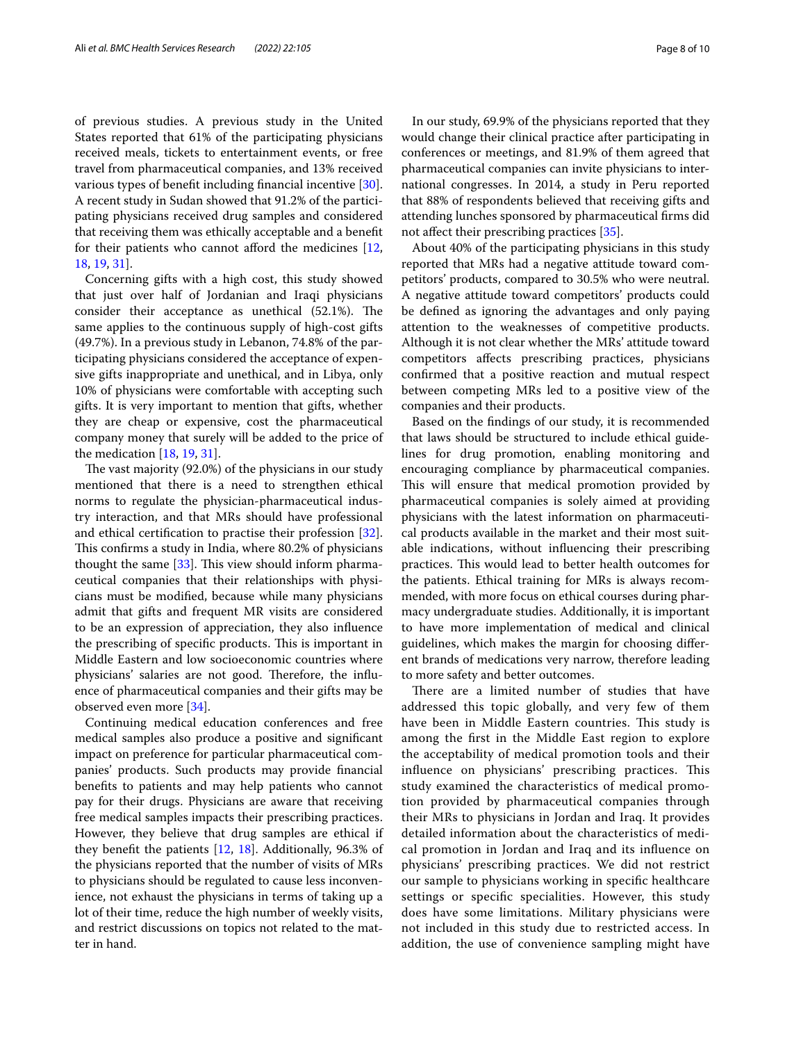of previous studies. A previous study in the United States reported that 61% of the participating physicians received meals, tickets to entertainment events, or free travel from pharmaceutical companies, and 13% received various types of beneft including fnancial incentive [\[30](#page-9-13)]. A recent study in Sudan showed that 91.2% of the participating physicians received drug samples and considered that receiving them was ethically acceptable and a beneft for their patients who cannot afford the medicines  $[12, 12]$  $[12, 12]$ [18,](#page-9-2) [19,](#page-9-3) [31](#page-9-14)].

Concerning gifts with a high cost, this study showed that just over half of Jordanian and Iraqi physicians consider their acceptance as unethical (52.1%). The same applies to the continuous supply of high-cost gifts (49.7%). In a previous study in Lebanon, 74.8% of the participating physicians considered the acceptance of expensive gifts inappropriate and unethical, and in Libya, only 10% of physicians were comfortable with accepting such gifts. It is very important to mention that gifts, whether they are cheap or expensive, cost the pharmaceutical company money that surely will be added to the price of the medication [[18](#page-9-2), [19,](#page-9-3) [31](#page-9-14)].

The vast majority (92.0%) of the physicians in our study mentioned that there is a need to strengthen ethical norms to regulate the physician-pharmaceutical industry interaction, and that MRs should have professional and ethical certifcation to practise their profession [\[32](#page-9-15)]. This confirms a study in India, where 80.2% of physicians thought the same  $[33]$  $[33]$ . This view should inform pharmaceutical companies that their relationships with physicians must be modifed, because while many physicians admit that gifts and frequent MR visits are considered to be an expression of appreciation, they also infuence the prescribing of specific products. This is important in Middle Eastern and low socioeconomic countries where physicians' salaries are not good. Therefore, the influence of pharmaceutical companies and their gifts may be observed even more [[34](#page-9-17)].

Continuing medical education conferences and free medical samples also produce a positive and signifcant impact on preference for particular pharmaceutical companies' products. Such products may provide fnancial benefts to patients and may help patients who cannot pay for their drugs. Physicians are aware that receiving free medical samples impacts their prescribing practices. However, they believe that drug samples are ethical if they beneft the patients [\[12](#page-8-10), [18\]](#page-9-2). Additionally, 96.3% of the physicians reported that the number of visits of MRs to physicians should be regulated to cause less inconvenience, not exhaust the physicians in terms of taking up a lot of their time, reduce the high number of weekly visits, and restrict discussions on topics not related to the matter in hand.

In our study, 69.9% of the physicians reported that they would change their clinical practice after participating in conferences or meetings, and 81.9% of them agreed that pharmaceutical companies can invite physicians to international congresses. In 2014, a study in Peru reported that 88% of respondents believed that receiving gifts and attending lunches sponsored by pharmaceutical frms did not afect their prescribing practices [[35\]](#page-9-18).

About 40% of the participating physicians in this study reported that MRs had a negative attitude toward competitors' products, compared to 30.5% who were neutral. A negative attitude toward competitors' products could be defned as ignoring the advantages and only paying attention to the weaknesses of competitive products. Although it is not clear whether the MRs' attitude toward competitors afects prescribing practices, physicians confrmed that a positive reaction and mutual respect between competing MRs led to a positive view of the companies and their products.

Based on the fndings of our study, it is recommended that laws should be structured to include ethical guidelines for drug promotion, enabling monitoring and encouraging compliance by pharmaceutical companies. This will ensure that medical promotion provided by pharmaceutical companies is solely aimed at providing physicians with the latest information on pharmaceutical products available in the market and their most suitable indications, without infuencing their prescribing practices. This would lead to better health outcomes for the patients. Ethical training for MRs is always recommended, with more focus on ethical courses during pharmacy undergraduate studies. Additionally, it is important to have more implementation of medical and clinical guidelines, which makes the margin for choosing diferent brands of medications very narrow, therefore leading to more safety and better outcomes.

There are a limited number of studies that have addressed this topic globally, and very few of them have been in Middle Eastern countries. This study is among the frst in the Middle East region to explore the acceptability of medical promotion tools and their influence on physicians' prescribing practices. This study examined the characteristics of medical promotion provided by pharmaceutical companies through their MRs to physicians in Jordan and Iraq. It provides detailed information about the characteristics of medical promotion in Jordan and Iraq and its infuence on physicians' prescribing practices. We did not restrict our sample to physicians working in specifc healthcare settings or specific specialities. However, this study does have some limitations. Military physicians were not included in this study due to restricted access. In addition, the use of convenience sampling might have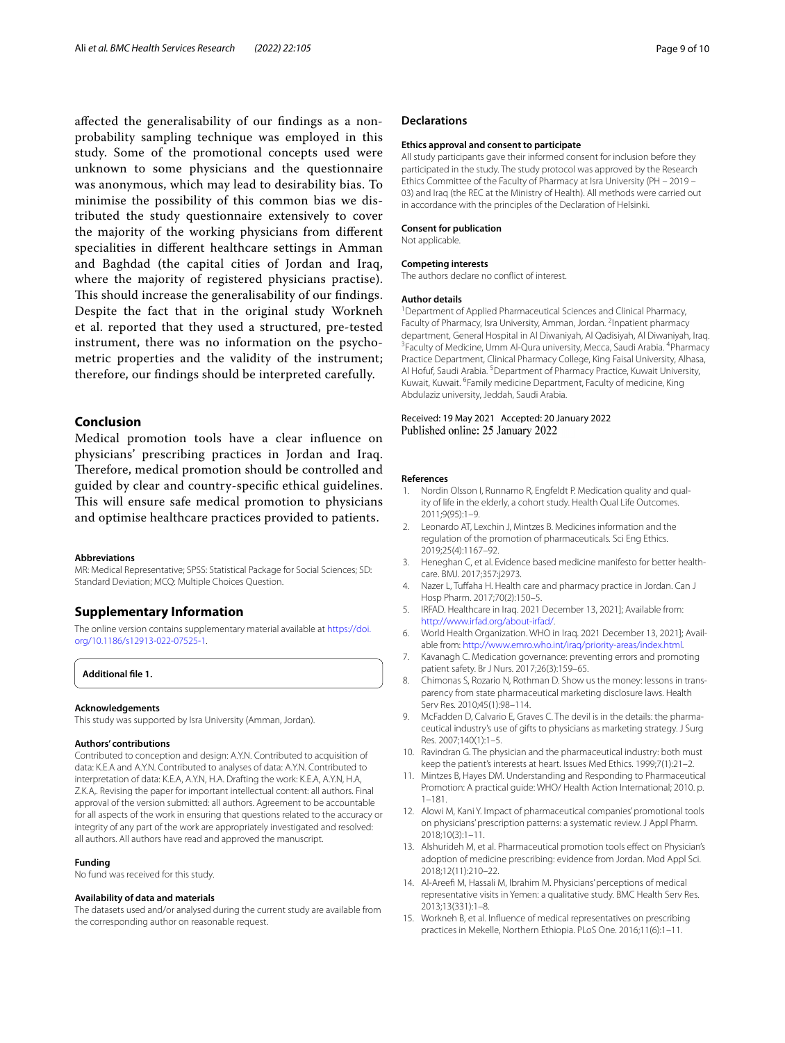afected the generalisability of our fndings as a nonprobability sampling technique was employed in this study. Some of the promotional concepts used were unknown to some physicians and the questionnaire was anonymous, which may lead to desirability bias. To minimise the possibility of this common bias we distributed the study questionnaire extensively to cover the majority of the working physicians from diferent specialities in diferent healthcare settings in Amman and Baghdad (the capital cities of Jordan and Iraq, where the majority of registered physicians practise). This should increase the generalisability of our findings. Despite the fact that in the original study Workneh et al. reported that they used a structured, pre-tested instrument, there was no information on the psychometric properties and the validity of the instrument; therefore, our fndings should be interpreted carefully.

## **Conclusion**

Medical promotion tools have a clear infuence on physicians' prescribing practices in Jordan and Iraq. Therefore, medical promotion should be controlled and guided by clear and country-specifc ethical guidelines. This will ensure safe medical promotion to physicians and optimise healthcare practices provided to patients.

#### **Abbreviations**

MR: Medical Representative; SPSS: Statistical Package for Social Sciences; SD: Standard Deviation; MCQ: Multiple Choices Question.

## **Supplementary Information**

The online version contains supplementary material available at [https://doi.](https://doi.org/10.1186/s12913-022-07525-1) [org/10.1186/s12913-022-07525-1](https://doi.org/10.1186/s12913-022-07525-1).

<span id="page-8-14"></span>**Additional fle 1.**

#### **Acknowledgements**

This study was supported by Isra University (Amman, Jordan).

#### **Authors' contributions**

Contributed to conception and design: A.Y.N. Contributed to acquisition of data: K.E.A and A.Y.N. Contributed to analyses of data: A.Y.N. Contributed to interpretation of data: K.E.A, A.Y.N, H.A. Drafting the work: K.E.A, A.Y.N, H.A, Z.K.A,. Revising the paper for important intellectual content: all authors. Final approval of the version submitted: all authors. Agreement to be accountable for all aspects of the work in ensuring that questions related to the accuracy or integrity of any part of the work are appropriately investigated and resolved: all authors. All authors have read and approved the manuscript.

#### **Funding**

No fund was received for this study.

#### **Availability of data and materials**

The datasets used and/or analysed during the current study are available from the corresponding author on reasonable request.

#### **Declarations**

#### **Ethics approval and consent to participate**

All study participants gave their informed consent for inclusion before they participated in the study. The study protocol was approved by the Research Ethics Committee of the Faculty of Pharmacy at Isra University (PH – 2019 – 03) and Iraq (the REC at the Ministry of Health). All methods were carried out in accordance with the principles of the Declaration of Helsinki.

#### **Consent for publication**

Not applicable.

#### **Competing interests**

The authors declare no confict of interest.

#### **Author details**

<sup>1</sup> Department of Applied Pharmaceutical Sciences and Clinical Pharmacy, Faculty of Pharmacy, Isra University, Amman, Jordan. <sup>2</sup>Inpatient pharmacy department, General Hospital in Al Diwaniyah, Al Qadisiyah, Al Diwaniyah, Iraq. 3 Faculty of Medicine, Umm Al-Qura university, Mecca, Saudi Arabia. <sup>4</sup>Pharmacy Practice Department, Clinical Pharmacy College, King Faisal University, Alhasa, Al Hofuf, Saudi Arabia. <sup>5</sup> Department of Pharmacy Practice, Kuwait University, Kuwait, Kuwait. <sup>6</sup> Family medicine Department, Faculty of medicine, King Abdulaziz university, Jeddah, Saudi Arabia.

#### Received: 19 May 2021 Accepted: 20 January 2022 Published online: 25 January 2022

#### **References**

- <span id="page-8-0"></span>1. Nordin Olsson I, Runnamo R, Engfeldt P. Medication quality and quality of life in the elderly, a cohort study. Health Qual Life Outcomes. 2011;9(95):1–9.
- <span id="page-8-1"></span>2. Leonardo AT, Lexchin J, Mintzes B. Medicines information and the regulation of the promotion of pharmaceuticals. Sci Eng Ethics. 2019;25(4):1167–92.
- <span id="page-8-2"></span>3. Heneghan C, et al. Evidence based medicine manifesto for better healthcare. BMJ. 2017;357:j2973.
- <span id="page-8-3"></span>4. Nazer L, Tufaha H. Health care and pharmacy practice in Jordan. Can J Hosp Pharm. 2017;70(2):150–5.
- <span id="page-8-4"></span>5. IRFAD. Healthcare in Iraq. 2021 December 13, 2021]; Available from: <http://www.irfad.org/about-irfad/>.
- <span id="page-8-5"></span>6. World Health Organization. WHO in Iraq. 2021 December 13, 2021]; Avail‑ able from: [http://www.emro.who.int/iraq/priority-areas/index.html.](http://www.emro.who.int/iraq/priority-areas/index.html)
- <span id="page-8-6"></span>7. Kavanagh C. Medication governance: preventing errors and promoting patient safety. Br J Nurs. 2017;26(3):159–65.
- <span id="page-8-7"></span>8. Chimonas S, Rozario N, Rothman D. Show us the money: lessons in transparency from state pharmaceutical marketing disclosure laws. Health Serv Res. 2010;45(1):98–114.
- 9. McFadden D, Calvario E, Graves C. The devil is in the details: the pharmaceutical industry's use of gifts to physicians as marketing strategy. J Surg Res. 2007;140(1):1–5.
- <span id="page-8-8"></span>10. Ravindran G. The physician and the pharmaceutical industry: both must keep the patient's interests at heart. Issues Med Ethics. 1999;7(1):21–2.
- <span id="page-8-9"></span>11. Mintzes B, Hayes DM. Understanding and Responding to Pharmaceutical Promotion: A practical guide: WHO/ Health Action International; 2010. p. 1–181.
- <span id="page-8-10"></span>12. Alowi M, Kani Y. Impact of pharmaceutical companies' promotional tools on physicians' prescription patterns: a systematic review. J Appl Pharm. 2018;10(3):1–11.
- <span id="page-8-11"></span>13. Alshurideh M, et al. Pharmaceutical promotion tools efect on Physician's adoption of medicine prescribing: evidence from Jordan. Mod Appl Sci. 2018;12(11):210–22.
- <span id="page-8-12"></span>14. Al-Areef M, Hassali M, Ibrahim M. Physicians' perceptions of medical representative visits in Yemen: a qualitative study. BMC Health Serv Res. 2013;13(331):1–8.
- <span id="page-8-13"></span>15. Workneh B, et al. Infuence of medical representatives on prescribing practices in Mekelle, Northern Ethiopia. PLoS One. 2016;11(6):1–11.